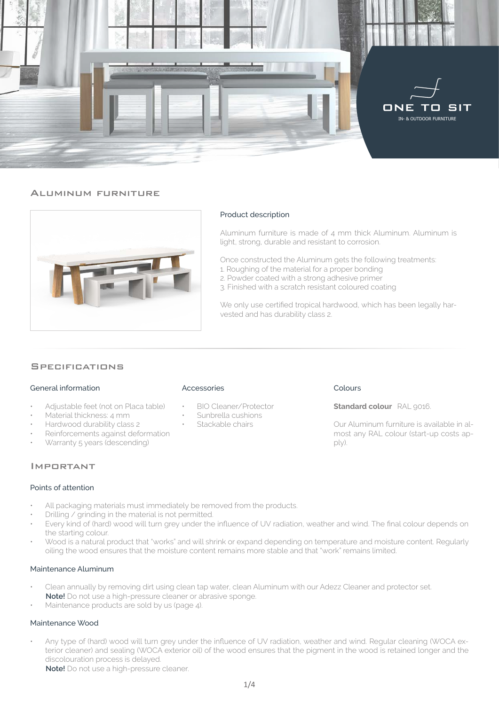

#### Aluminum furniture



### Product description

Aluminum furniture is made of 4 mm thick Aluminum. Aluminum is light, strong, durable and resistant to corrosion.

Once constructed the Aluminum gets the following treatments:

- 1. Roughing of the material for a proper bonding
- 2. Powder coated with a strong adhesive primer
- 3. Finished with a scratch resistant coloured coating

We only use certified tropical hardwood, which has been legally harvested and has durability class 2.

#### **SPECIFICATIONS**

#### General information

- Adjustable feet (not on Placa table)
- Material thickness: 4 mm
- Hardwood durability class 2
- Reinforcements against deformation
- Warranty 5 years (descending)

# Important

#### Points of attention

- All packaging materials must immediately be removed from the products.
- Drilling / grinding in the material is not permitted.
- Every kind of (hard) wood will turn grey under the influence of UV radiation, weather and wind. The final colour depends on the starting colour.
- Wood is a natural product that "works" and will shrink or expand depending on temperature and moisture content. Regularly oiling the wood ensures that the moisture content remains more stable and that "work" remains limited.

#### Maintenance Aluminum

- Clean annually by removing dirt using clean tap water, clean Aluminum with our Adezz Cleaner and protector set. **Note!** Do not use a high-pressure cleaner or abrasive sponge.
- Maintenance products are sold by us (page 4).

#### Maintenance Wood

• Any type of (hard) wood will turn grey under the influence of UV radiation, weather and wind. Regular cleaning (WOCA exterior cleaner) and sealing (WOCA exterior oil) of the wood ensures that the pigment in the wood is retained longer and the discolouration process is delayed.

**Note!** Do not use a high-pressure cleaner.

#### Accessories

- BIO Cleaner/Protector
- Sunbrella cushions
- Stackable chairs

# Colours

#### **Standard colour** RAL 9016.

Our Aluminum furniture is available in almost any RAL colour (start-up costs apply).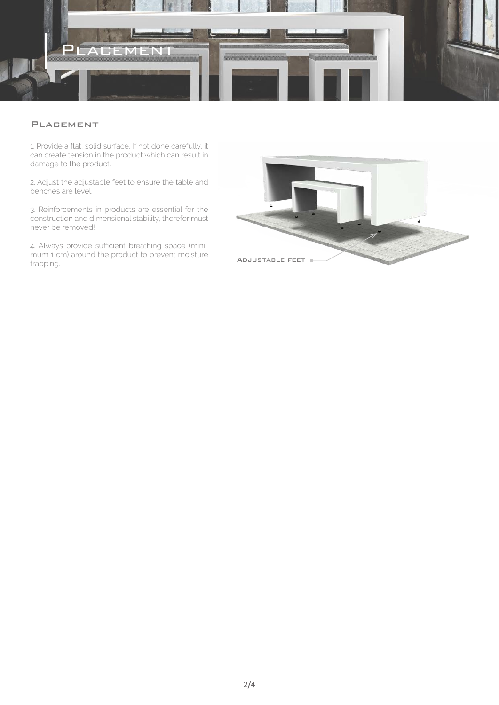

# **PLACEMENT**

1. Provide a flat, solid surface. If not done carefully, it can create tension in the product which can result in damage to the product.

2. Adjust the adjustable feet to ensure the table and benches are level.

3. Reinforcements in products are essential for the construction and dimensional stability, therefor must never be removed!

4. Always provide sufficient breathing space (minimum 1 cm) around the product to prevent moisture trapping.

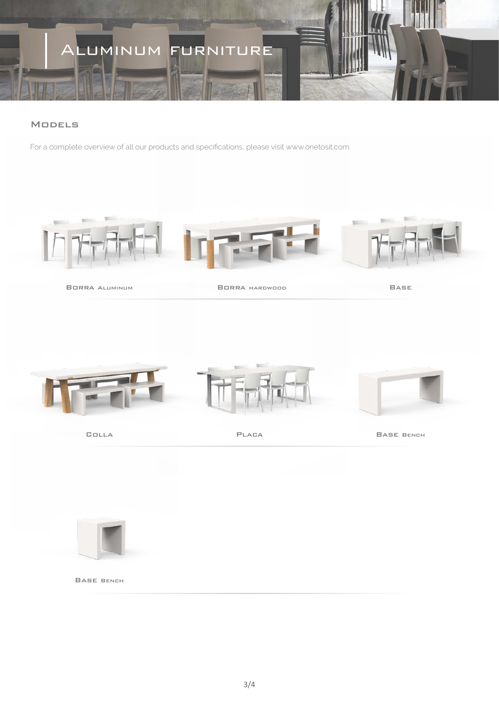# Aluminum furniture

# **MODELS**

For a complete overview of all our products and specifications, please visit www.onetosit.com.



Borra Aluminum Borra hardwood

Base



Base Bench